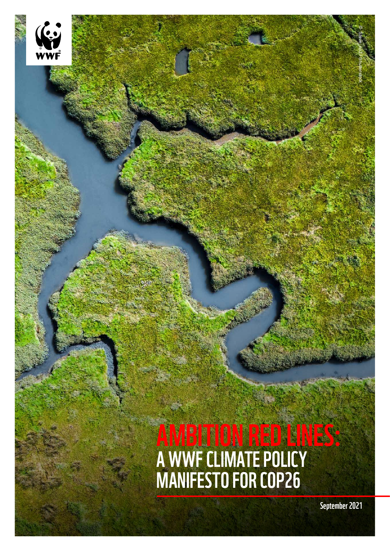# AMBITION RED LINES: A WWF CLIMATE POLICY MANIFESTO FOR COP26

September 2021

© Steve\_np3 / Shutterstock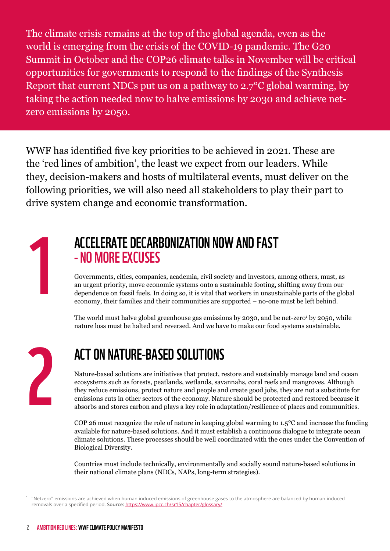The climate crisis remains at the top of the global agenda, even as the world is emerging from the crisis of the COVID-19 pandemic. The G20 Summit in October and the COP26 climate talks in November will be critical opportunities for governments to respond to the findings of the Synthesis Report that current NDCs put us on a pathway to 2.7°C global warming, by taking the action needed now to halve emissions by 2030 and achieve netzero emissions by 2050.

WWF has identified five key priorities to be achieved in 2021. These are the 'red lines of ambition', the least we expect from our leaders. While they, decision-makers and hosts of multilateral events, must deliver on the following priorities, we will also need all stakeholders to play their part to drive system change and economic transformation.

1

#### ACCELERATE DECARBONIZATION NOW AND FAST - NO MORE EXCUSES

Governments, cities, companies, academia, civil society and investors, among others, must, as an urgent priority, move economic systems onto a sustainable footing, shifting away from our dependence on fossil fuels. In doing so, it is vital that workers in unsustainable parts of the global economy, their families and their communities are supported – no-one must be left behind.

The world must halve global greenhouse gas emissions by 2030, and be net-zero $^{\rm t}$  by 2050, while nature loss must be halted and reversed. And we have to make our food systems sustainable.

2

#### ACT ON NATURE-BASED SOLUTIONS

Nature-based solutions are initiatives that protect, restore and sustainably manage land and ocean ecosystems such as forests, peatlands, wetlands, savannahs, coral reefs and mangroves. Although they reduce emissions, protect nature and people and create good jobs, they are not a substitute for emissions cuts in other sectors of the economy. Nature should be protected and restored because it absorbs and stores carbon and plays a key role in adaptation/resilience of places and communities.

COP 26 must recognize the role of nature in keeping global warming to 1.5**°**C and increase the funding available for nature-based solutions. And it must establish a continuous dialogue to integrate ocean climate solutions. These processes should be well coordinated with the ones under the Convention of Biological Diversity.

Countries must include technically, environmentally and socially sound nature-based solutions in their national climate plans (NDCs, NAPs, long-term strategies).

 $1$  "Netzero" emissions are achieved when human induced emissions of greenhouse gases to the atmosphere are balanced by human-induced removals over a specified period. **Source:** <https://www.ipcc.ch/sr15/chapter/glossary/>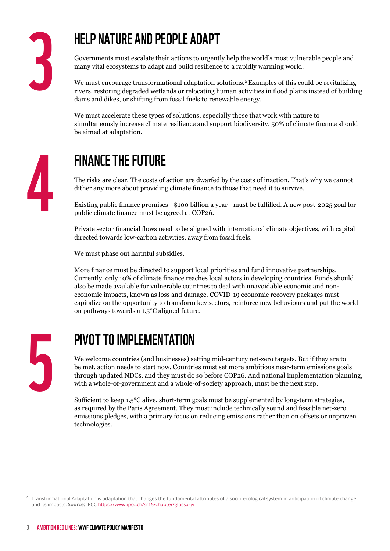## HELP NATURE AND PEOPLE ADAPT

Governments must escalate their actions to urgently help the world's most vulnerable people and many vital ecosystems to adapt and build resilience to a rapidly warming world.

We must encourage transformational adaptation solutions.2 Examples of this could be revitalizing rivers, restoring degraded wetlands or relocating human activities in flood plains instead of building dams and dikes, or shifting from fossil fuels to renewable energy.

We must accelerate these types of solutions, especially those that work with nature to simultaneously increase climate resilience and support biodiversity. 50% of climate finance should be aimed at adaptation.



## FINANCE THE FUTURE

The risks are clear. The costs of action are dwarfed by the costs of inaction. That's why we cannot dither any more about providing climate finance to those that need it to survive.

Existing public finance promises - \$100 billion a year - must be fulfilled. A new post-2025 goal for public climate finance must be agreed at COP26.

Private sector financial flows need to be aligned with international climate objectives, with capital directed towards low-carbon activities, away from fossil fuels.

We must phase out harmful subsidies.

More finance must be directed to support local priorities and fund innovative partnerships. Currently, only 10% of climate finance reaches local actors in developing countries. Funds should also be made available for vulnerable countries to deal with unavoidable economic and noneconomic impacts, known as loss and damage. COVID-19 economic recovery packages must capitalize on the opportunity to transform key sectors, reinforce new behaviours and put the world on pathways towards a 1.5℃ aligned future.



#### PIVOT TO IMPLEMENTATION

We welcome countries (and businesses) setting mid-century net-zero targets. But if they are to be met, action needs to start now. Countries must set more ambitious near-term emissions goals through updated NDCs, and they must do so before COP26. And national implementation planning, with a whole-of-government and a whole-of-society approach, must be the next step.

Sufficient to keep 1.5°C alive, short-term goals must be supplemented by long-term strategies, as required by the Paris Agreement. They must include technically sound and feasible net-zero emissions pledges, with a primary focus on reducing emissions rather than on offsets or unproven technologies.

 $2$  Transformational Adaptation is adaptation that changes the fundamental attributes of a socio-ecological system in anticipation of climate change and its impacts. **Source:** IPCC <https://www.ipcc.ch/sr15/chapter/glossary/>